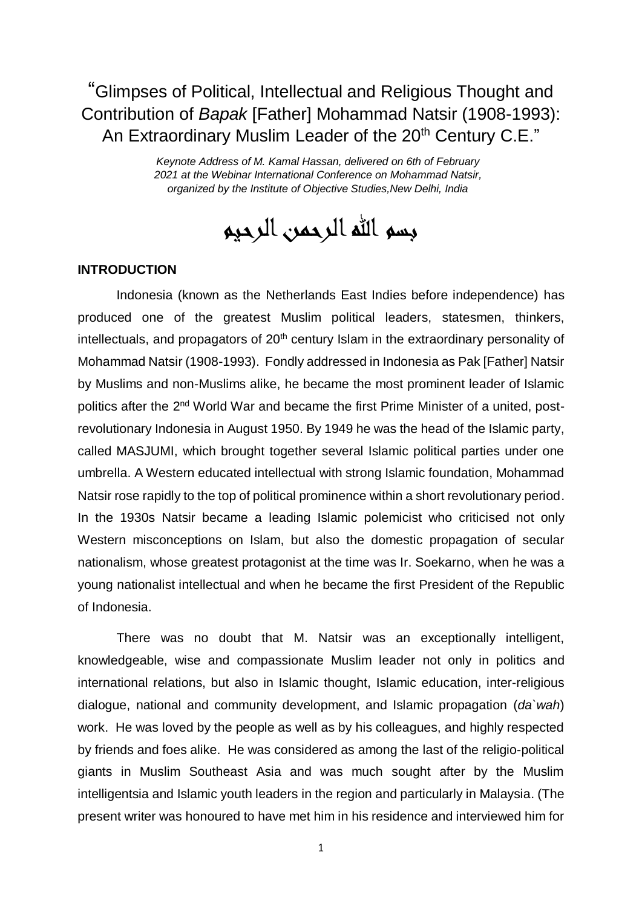"Glimpses of Political, Intellectual and Religious Thought and Contribution of *Bapak* [Father] Mohammad Natsir (1908-1993): An Extraordinary Muslim Leader of the 20<sup>th</sup> Century C.E."

> *Keynote Address of M. Kamal Hassan, delivered on 6th of February 2021 at the Webinar International Conference on Mohammad Natsir, organized by the Institute of Objective Studies,New Delhi, India*

بسم الله الرحمن الرحيم

## **INTRODUCTION**

Indonesia (known as the Netherlands East Indies before independence) has produced one of the greatest Muslim political leaders, statesmen, thinkers, intellectuals, and propagators of  $20<sup>th</sup>$  century Islam in the extraordinary personality of Mohammad Natsir (1908-1993). Fondly addressed in Indonesia as Pak [Father] Natsir by Muslims and non-Muslims alike, he became the most prominent leader of Islamic politics after the 2<sup>nd</sup> World War and became the first Prime Minister of a united, postrevolutionary Indonesia in August 1950. By 1949 he was the head of the Islamic party, called MASJUMI, which brought together several Islamic political parties under one umbrella. A Western educated intellectual with strong Islamic foundation, Mohammad Natsir rose rapidly to the top of political prominence within a short revolutionary period. In the 1930s Natsir became a leading Islamic polemicist who criticised not only Western misconceptions on Islam, but also the domestic propagation of secular nationalism, whose greatest protagonist at the time was Ir. Soekarno, when he was a young nationalist intellectual and when he became the first President of the Republic of Indonesia.

There was no doubt that M. Natsir was an exceptionally intelligent, knowledgeable, wise and compassionate Muslim leader not only in politics and international relations, but also in Islamic thought, Islamic education, inter-religious dialogue, national and community development, and Islamic propagation (*da`wah*) work. He was loved by the people as well as by his colleagues, and highly respected by friends and foes alike. He was considered as among the last of the religio-political giants in Muslim Southeast Asia and was much sought after by the Muslim intelligentsia and Islamic youth leaders in the region and particularly in Malaysia. (The present writer was honoured to have met him in his residence and interviewed him for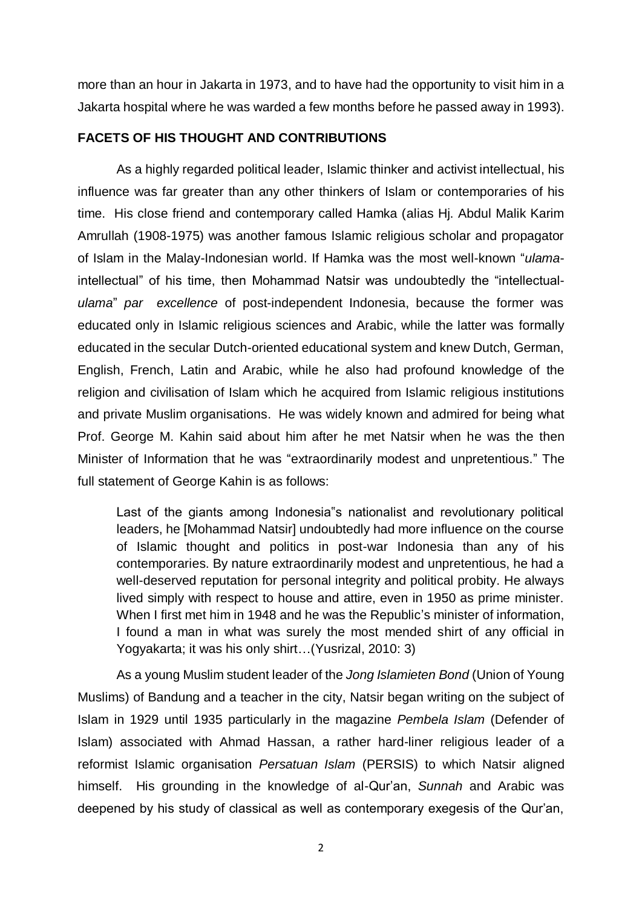more than an hour in Jakarta in 1973, and to have had the opportunity to visit him in a Jakarta hospital where he was warded a few months before he passed away in 1993).

## **FACETS OF HIS THOUGHT AND CONTRIBUTIONS**

As a highly regarded political leader, Islamic thinker and activist intellectual, his influence was far greater than any other thinkers of Islam or contemporaries of his time. His close friend and contemporary called Hamka (alias Hj. Abdul Malik Karim Amrullah (1908-1975) was another famous Islamic religious scholar and propagator of Islam in the Malay-Indonesian world. If Hamka was the most well-known "*ulama*intellectual" of his time, then Mohammad Natsir was undoubtedly the "intellectual*ulama*" *par excellence* of post-independent Indonesia, because the former was educated only in Islamic religious sciences and Arabic, while the latter was formally educated in the secular Dutch-oriented educational system and knew Dutch, German, English, French, Latin and Arabic, while he also had profound knowledge of the religion and civilisation of Islam which he acquired from Islamic religious institutions and private Muslim organisations. He was widely known and admired for being what Prof. George M. Kahin said about him after he met Natsir when he was the then Minister of Information that he was "extraordinarily modest and unpretentious." The full statement of George Kahin is as follows:

Last of the giants among Indonesia"s nationalist and revolutionary political leaders, he [Mohammad Natsir] undoubtedly had more influence on the course of Islamic thought and politics in post-war Indonesia than any of his contemporaries. By nature extraordinarily modest and unpretentious, he had a well-deserved reputation for personal integrity and political probity. He always lived simply with respect to house and attire, even in 1950 as prime minister. When I first met him in 1948 and he was the Republic's minister of information, I found a man in what was surely the most mended shirt of any official in Yogyakarta; it was his only shirt…(Yusrizal, 2010: 3)

As a young Muslim student leader of the *Jong Islamieten Bond* (Union of Young Muslims) of Bandung and a teacher in the city, Natsir began writing on the subject of Islam in 1929 until 1935 particularly in the magazine *Pembela Islam* (Defender of Islam) associated with Ahmad Hassan, a rather hard-liner religious leader of a reformist Islamic organisation *Persatuan Islam* (PERSIS) to which Natsir aligned himself. His grounding in the knowledge of al-Qur'an, *Sunnah* and Arabic was deepened by his study of classical as well as contemporary exegesis of the Qur'an,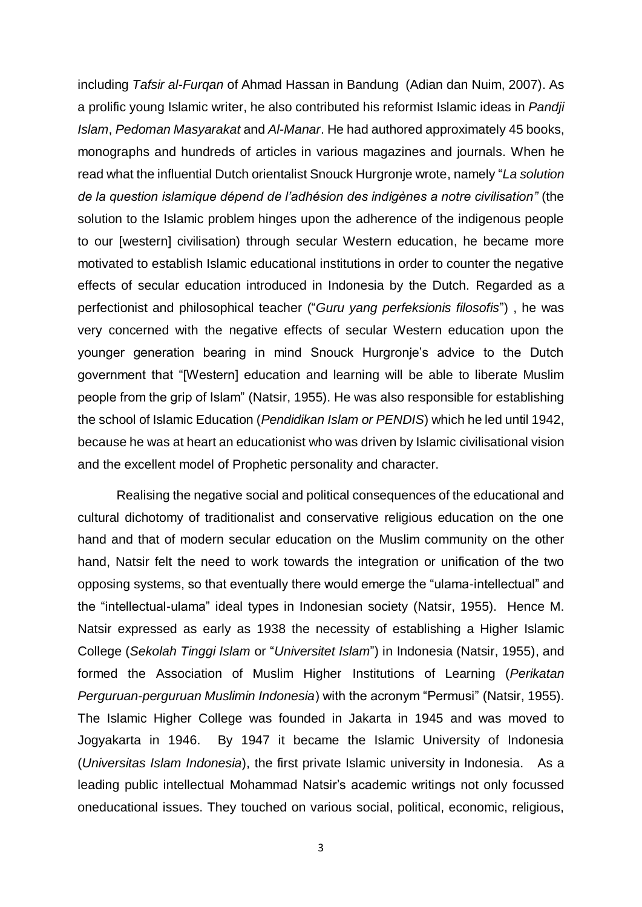including *Tafsir al-Furqan* of Ahmad Hassan in Bandung (Adian dan Nuim, 2007). As a prolific young Islamic writer, he also contributed his reformist Islamic ideas in *Pandji Islam*, *Pedoman Masyarakat* and *Al-Manar*. He had authored approximately 45 books, monographs and hundreds of articles in various magazines and journals. When he read what the influential Dutch orientalist Snouck Hurgronje wrote, namely "*La solution de la question islamique dépend de l'adhésion des indigènes a notre civilisation"* (the solution to the Islamic problem hinges upon the adherence of the indigenous people to our [western] civilisation) through secular Western education, he became more motivated to establish Islamic educational institutions in order to counter the negative effects of secular education introduced in Indonesia by the Dutch. Regarded as a perfectionist and philosophical teacher ("*Guru yang perfeksionis filosofis*") , he was very concerned with the negative effects of secular Western education upon the younger generation bearing in mind Snouck Hurgronje's advice to the Dutch government that "[Western] education and learning will be able to liberate Muslim people from the grip of Islam" (Natsir, 1955). He was also responsible for establishing the school of Islamic Education (*Pendidikan Islam or PENDIS*) which he led until 1942, because he was at heart an educationist who was driven by Islamic civilisational vision and the excellent model of Prophetic personality and character.

Realising the negative social and political consequences of the educational and cultural dichotomy of traditionalist and conservative religious education on the one hand and that of modern secular education on the Muslim community on the other hand, Natsir felt the need to work towards the integration or unification of the two opposing systems, so that eventually there would emerge the "ulama-intellectual" and the "intellectual-ulama" ideal types in Indonesian society (Natsir, 1955). Hence M. Natsir expressed as early as 1938 the necessity of establishing a Higher Islamic College (*Sekolah Tinggi Islam* or "*Universitet Islam*") in Indonesia (Natsir, 1955), and formed the Association of Muslim Higher Institutions of Learning (*Perikatan Perguruan-perguruan Muslimin Indonesia*) with the acronym "Permusi" (Natsir, 1955). The Islamic Higher College was founded in Jakarta in 1945 and was moved to Jogyakarta in 1946. By 1947 it became the Islamic University of Indonesia (*Universitas Islam Indonesia*), the first private Islamic university in Indonesia. As a leading public intellectual Mohammad Natsir's academic writings not only focussed oneducational issues. They touched on various social, political, economic, religious,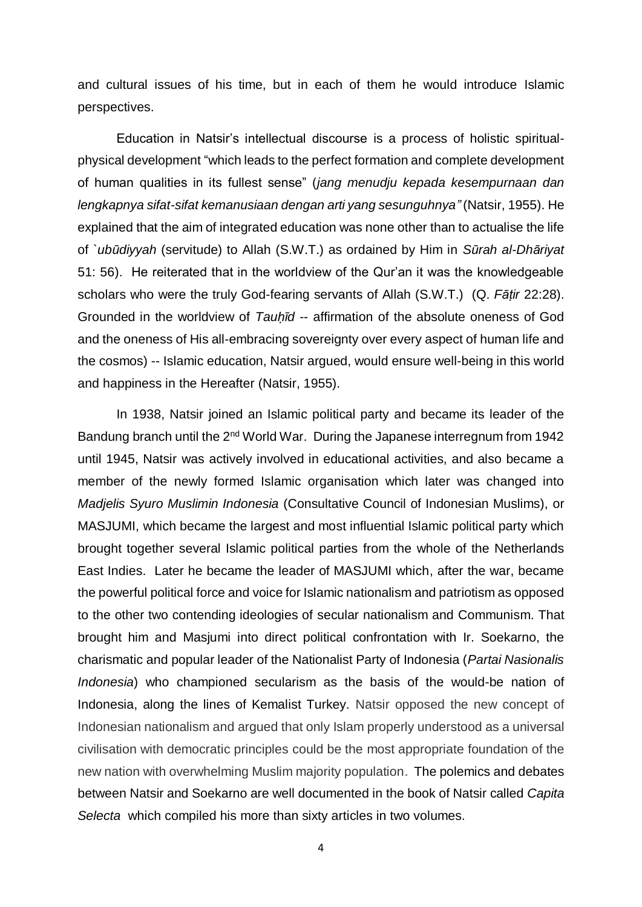and cultural issues of his time, but in each of them he would introduce Islamic perspectives.

Education in Natsir's intellectual discourse is a process of holistic spiritualphysical development "which leads to the perfect formation and complete development of human qualities in its fullest sense" (*jang menudju kepada kesempurnaan dan lengkapnya sifat-sifat kemanusiaan dengan arti yang sesunguhnya"* (Natsir, 1955). He explained that the aim of integrated education was none other than to actualise the life of *`ubūdiyyah* (servitude) to Allah (S.W.T.) as ordained by Him in *Sūrah al-Dhāriyat* 51: 56). He reiterated that in the worldview of the Qur'an it was the knowledgeable scholars who were the truly God-fearing servants of Allah (S.W.T.) (Q. *Fāṭir* 22:28). Grounded in the worldview of *Tauḥīd* -- affirmation of the absolute oneness of God and the oneness of His all-embracing sovereignty over every aspect of human life and the cosmos) -- Islamic education, Natsir argued, would ensure well-being in this world and happiness in the Hereafter (Natsir, 1955).

In 1938, Natsir joined an Islamic political party and became its leader of the Bandung branch until the  $2^{nd}$  World War. During the Japanese interregnum from 1942 until 1945, Natsir was actively involved in educational activities, and also became a member of the newly formed Islamic organisation which later was changed into *Madjelis Syuro Muslimin Indonesia* (Consultative Council of Indonesian Muslims), or MASJUMI, which became the largest and most influential Islamic political party which brought together several Islamic political parties from the whole of the Netherlands East Indies. Later he became the leader of MASJUMI which, after the war, became the powerful political force and voice for Islamic nationalism and patriotism as opposed to the other two contending ideologies of secular nationalism and Communism. That brought him and Masjumi into direct political confrontation with Ir. Soekarno, the charismatic and popular leader of the Nationalist Party of Indonesia (*Partai Nasionalis Indonesia*) who championed secularism as the basis of the would-be nation of Indonesia, along the lines of Kemalist Turkey. Natsir opposed the new concept of Indonesian nationalism and argued that only Islam properly understood as a universal civilisation with democratic principles could be the most appropriate foundation of the new nation with overwhelming Muslim majority population. The polemics and debates between Natsir and Soekarno are well documented in the book of Natsir called *Capita Selecta* which compiled his more than sixty articles in two volumes.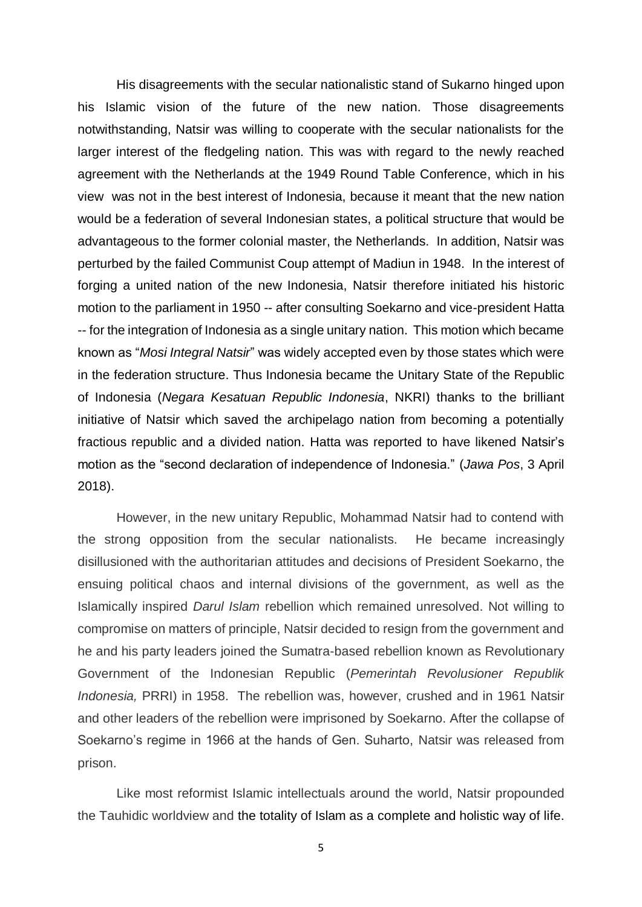His disagreements with the secular nationalistic stand of Sukarno hinged upon his Islamic vision of the future of the new nation. Those disagreements notwithstanding, Natsir was willing to cooperate with the secular nationalists for the larger interest of the fledgeling nation. This was with regard to the newly reached agreement with the Netherlands at the 1949 Round Table Conference, which in his view was not in the best interest of Indonesia, because it meant that the new nation would be a federation of several Indonesian states, a political structure that would be advantageous to the former colonial master, the Netherlands. In addition, Natsir was perturbed by the failed Communist Coup attempt of Madiun in 1948. In the interest of forging a united nation of the new Indonesia, Natsir therefore initiated his historic motion to the parliament in 1950 -- after consulting Soekarno and vice-president Hatta -- for the integration of Indonesia as a single unitary nation. This motion which became known as "*Mosi Integral Natsir*" was widely accepted even by those states which were in the federation structure. Thus Indonesia became the Unitary State of the Republic of Indonesia (*Negara Kesatuan Republic Indonesia*, NKRI) thanks to the brilliant initiative of Natsir which saved the archipelago nation from becoming a potentially fractious republic and a divided nation. Hatta was reported to have likened Natsir's motion as the "second declaration of independence of Indonesia." (*Jawa Pos*, 3 April 2018).

However, in the new unitary Republic, Mohammad Natsir had to contend with the strong opposition from the secular nationalists. He became increasingly disillusioned with the authoritarian attitudes and decisions of President Soekarno, the ensuing political chaos and internal divisions of the government, as well as the Islamically inspired *Darul Islam* rebellion which remained unresolved. Not willing to compromise on matters of principle, Natsir decided to resign from the government and he and his party leaders joined the Sumatra-based rebellion known as Revolutionary Government of the Indonesian Republic (*Pemerintah Revolusioner Republik Indonesia,* PRRI) in 1958. The rebellion was, however, crushed and in 1961 Natsir and other leaders of the rebellion were imprisoned by Soekarno. After the collapse of Soekarno's regime in 1966 at the hands of Gen. Suharto, Natsir was released from prison.

Like most reformist Islamic intellectuals around the world, Natsir propounded the Tauhidic worldview and the totality of Islam as a complete and holistic way of life.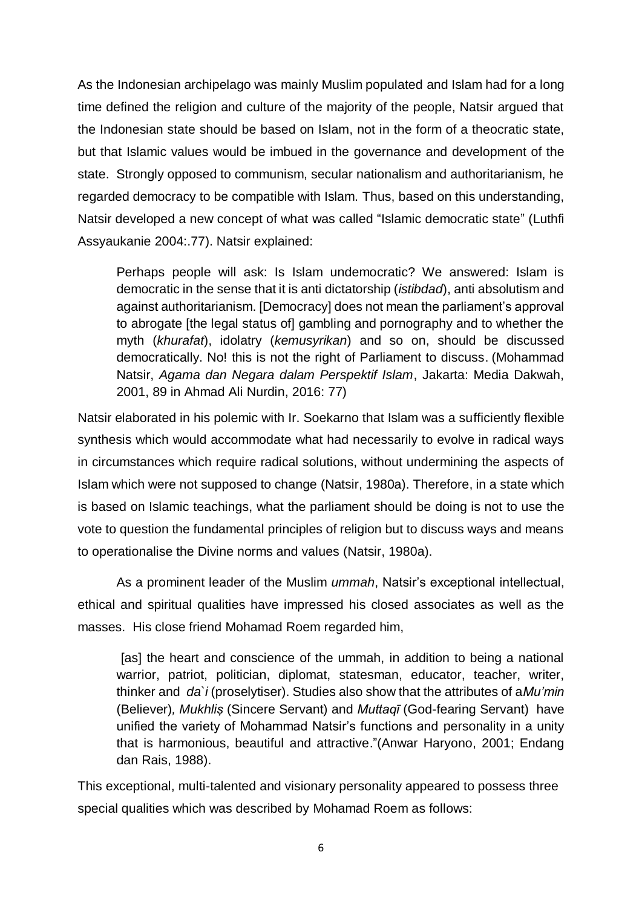As the Indonesian archipelago was mainly Muslim populated and Islam had for a long time defined the religion and culture of the majority of the people, Natsir argued that the Indonesian state should be based on Islam, not in the form of a theocratic state, but that Islamic values would be imbued in the governance and development of the state. Strongly opposed to communism, secular nationalism and authoritarianism, he regarded democracy to be compatible with Islam. Thus, based on this understanding, Natsir developed a new concept of what was called "Islamic democratic state" (Luthfi Assyaukanie 2004:.77). Natsir explained:

Perhaps people will ask: Is Islam undemocratic? We answered: Islam is democratic in the sense that it is anti dictatorship (*istibdad*), anti absolutism and against authoritarianism. [Democracy] does not mean the parliament's approval to abrogate [the legal status of] gambling and pornography and to whether the myth (*khurafat*), idolatry (*kemusyrikan*) and so on, should be discussed democratically. No! this is not the right of Parliament to discuss. (Mohammad Natsir, *Agama dan Negara dalam Perspektif Islam*, Jakarta: Media Dakwah, 2001, 89 in Ahmad Ali Nurdin, 2016: 77)

Natsir elaborated in his polemic with Ir. Soekarno that Islam was a sufficiently flexible synthesis which would accommodate what had necessarily to evolve in radical ways in circumstances which require radical solutions, without undermining the aspects of Islam which were not supposed to change (Natsir, 1980a). Therefore, in a state which is based on Islamic teachings, what the parliament should be doing is not to use the vote to question the fundamental principles of religion but to discuss ways and means to operationalise the Divine norms and values (Natsir, 1980a).

As a prominent leader of the Muslim *ummah*, Natsir's exceptional intellectual, ethical and spiritual qualities have impressed his closed associates as well as the masses. His close friend Mohamad Roem regarded him,

[as] the heart and conscience of the ummah, in addition to being a national warrior, patriot, politician, diplomat, statesman, educator, teacher, writer, thinker and *da`i* (proselytiser). Studies also show that the attributes of a*Mu'min*  (Believer)*, Mukhliṣ* (Sincere Servant) and *Muttaqī* (God-fearing Servant) have unified the variety of Mohammad Natsir's functions and personality in a unity that is harmonious, beautiful and attractive."(Anwar Haryono, 2001; Endang dan Rais, 1988).

This exceptional, multi-talented and visionary personality appeared to possess three special qualities which was described by Mohamad Roem as follows: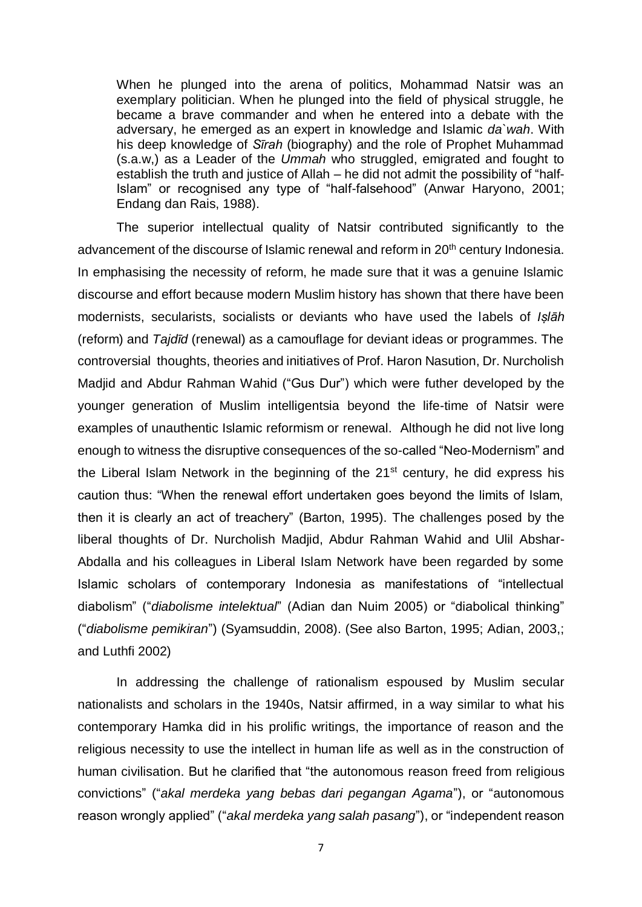When he plunged into the arena of politics, Mohammad Natsir was an exemplary politician. When he plunged into the field of physical struggle, he became a brave commander and when he entered into a debate with the adversary, he emerged as an expert in knowledge and Islamic *da`wah*. With his deep knowledge of *Sīrah* (biography) and the role of Prophet Muhammad (s.a.w,) as a Leader of the *Ummah* who struggled, emigrated and fought to establish the truth and justice of Allah – he did not admit the possibility of "half-Islam" or recognised any type of "half-falsehood" (Anwar Haryono, 2001; Endang dan Rais, 1988).

The superior intellectual quality of Natsir contributed significantly to the advancement of the discourse of Islamic renewal and reform in 20<sup>th</sup> century Indonesia. In emphasising the necessity of reform, he made sure that it was a genuine Islamic discourse and effort because modern Muslim history has shown that there have been modernists, secularists, socialists or deviants who have used the labels of *Iṣlāh*  (reform) and *Tajdīd* (renewal) as a camouflage for deviant ideas or programmes. The controversial thoughts, theories and initiatives of Prof. Haron Nasution, Dr. Nurcholish Madjid and Abdur Rahman Wahid ("Gus Dur") which were futher developed by the younger generation of Muslim intelligentsia beyond the life-time of Natsir were examples of unauthentic Islamic reformism or renewal. Although he did not live long enough to witness the disruptive consequences of the so-called "Neo-Modernism" and the Liberal Islam Network in the beginning of the 21<sup>st</sup> century, he did express his caution thus: "When the renewal effort undertaken goes beyond the limits of Islam, then it is clearly an act of treachery" (Barton, 1995). The challenges posed by the liberal thoughts of Dr. Nurcholish Madjid, Abdur Rahman Wahid and Ulil Abshar-Abdalla and his colleagues in Liberal Islam Network have been regarded by some Islamic scholars of contemporary Indonesia as manifestations of "intellectual diabolism" ("*diabolisme intelektual*" (Adian dan Nuim 2005) or "diabolical thinking" ("*diabolisme pemikiran*") (Syamsuddin, 2008). (See also Barton, 1995; Adian, 2003,; and Luthfi 2002)

In addressing the challenge of rationalism espoused by Muslim secular nationalists and scholars in the 1940s, Natsir affirmed, in a way similar to what his contemporary Hamka did in his prolific writings, the importance of reason and the religious necessity to use the intellect in human life as well as in the construction of human civilisation. But he clarified that "the autonomous reason freed from religious convictions" ("*akal merdeka yang bebas dari pegangan Agama*"), or "autonomous reason wrongly applied" ("*akal merdeka yang salah pasang*"), or "independent reason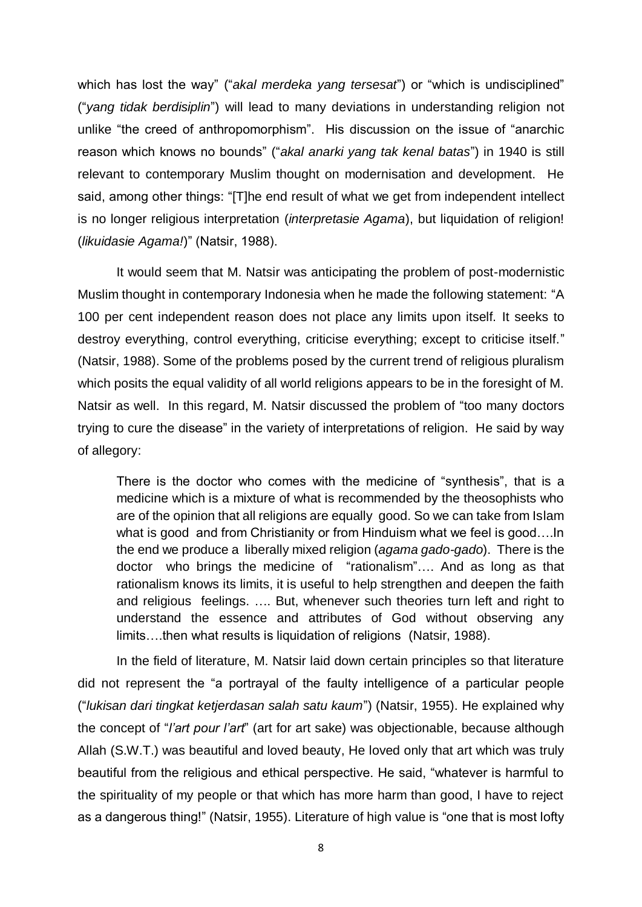which has lost the way" ("*akal merdeka yang tersesat*") or "which is undisciplined" ("*yang tidak berdisiplin*") will lead to many deviations in understanding religion not unlike "the creed of anthropomorphism". His discussion on the issue of "anarchic reason which knows no bounds" ("*akal anarki yang tak kenal batas*") in 1940 is still relevant to contemporary Muslim thought on modernisation and development. He said, among other things: "[T]he end result of what we get from independent intellect is no longer religious interpretation (*interpretasie Agama*), but liquidation of religion! (*likuidasie Agama!*)" (Natsir, 1988).

It would seem that M. Natsir was anticipating the problem of post-modernistic Muslim thought in contemporary Indonesia when he made the following statement: "A 100 per cent independent reason does not place any limits upon itself. It seeks to destroy everything, control everything, criticise everything; except to criticise itself." (Natsir, 1988). Some of the problems posed by the current trend of religious pluralism which posits the equal validity of all world religions appears to be in the foresight of M. Natsir as well. In this regard, M. Natsir discussed the problem of "too many doctors trying to cure the disease" in the variety of interpretations of religion. He said by way of allegory:

There is the doctor who comes with the medicine of "synthesis", that is a medicine which is a mixture of what is recommended by the theosophists who are of the opinion that all religions are equally good. So we can take from Islam what is good and from Christianity or from Hinduism what we feel is good....In the end we produce a liberally mixed religion (*agama gado-gado*). There is the doctor who brings the medicine of "rationalism"…. And as long as that rationalism knows its limits, it is useful to help strengthen and deepen the faith and religious feelings. …. But, whenever such theories turn left and right to understand the essence and attributes of God without observing any limits….then what results is liquidation of religions (Natsir, 1988).

In the field of literature, M. Natsir laid down certain principles so that literature did not represent the "a portrayal of the faulty intelligence of a particular people ("*lukisan dari tingkat ketjerdasan salah satu kaum*") (Natsir, 1955). He explained why the concept of "*l'art pour l'art*" (art for art sake) was objectionable, because although Allah (S.W.T.) was beautiful and loved beauty, He loved only that art which was truly beautiful from the religious and ethical perspective. He said, "whatever is harmful to the spirituality of my people or that which has more harm than good, I have to reject as a dangerous thing!" (Natsir, 1955). Literature of high value is "one that is most lofty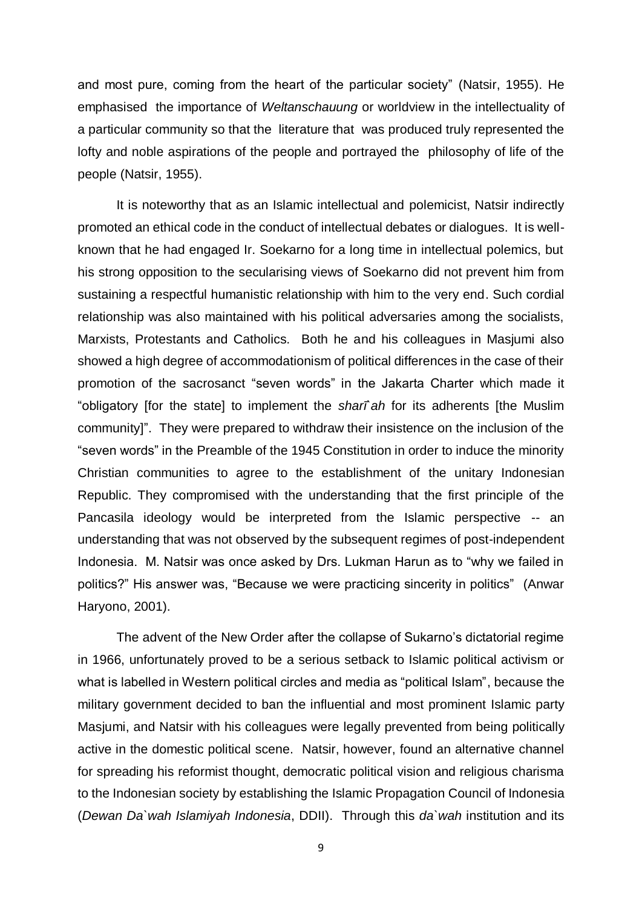and most pure, coming from the heart of the particular society" (Natsir, 1955). He emphasised the importance of *Weltanschauung* or worldview in the intellectuality of a particular community so that the literature that was produced truly represented the lofty and noble aspirations of the people and portrayed the philosophy of life of the people (Natsir, 1955).

It is noteworthy that as an Islamic intellectual and polemicist, Natsir indirectly promoted an ethical code in the conduct of intellectual debates or dialogues. It is wellknown that he had engaged Ir. Soekarno for a long time in intellectual polemics, but his strong opposition to the secularising views of Soekarno did not prevent him from sustaining a respectful humanistic relationship with him to the very end. Such cordial relationship was also maintained with his political adversaries among the socialists, Marxists, Protestants and Catholics. Both he and his colleagues in Masjumi also showed a high degree of accommodationism of political differences in the case of their promotion of the sacrosanct "seven words" in the Jakarta Charter which made it "obligatory [for the state] to implement the *sharī`ah* for its adherents [the Muslim community]". They were prepared to withdraw their insistence on the inclusion of the "seven words" in the Preamble of the 1945 Constitution in order to induce the minority Christian communities to agree to the establishment of the unitary Indonesian Republic. They compromised with the understanding that the first principle of the Pancasila ideology would be interpreted from the Islamic perspective -- an understanding that was not observed by the subsequent regimes of post-independent Indonesia. M. Natsir was once asked by Drs. Lukman Harun as to "why we failed in politics?" His answer was, "Because we were practicing sincerity in politics" (Anwar Haryono, 2001).

The advent of the New Order after the collapse of Sukarno's dictatorial regime in 1966, unfortunately proved to be a serious setback to Islamic political activism or what is labelled in Western political circles and media as "political Islam", because the military government decided to ban the influential and most prominent Islamic party Masjumi, and Natsir with his colleagues were legally prevented from being politically active in the domestic political scene. Natsir, however, found an alternative channel for spreading his reformist thought, democratic political vision and religious charisma to the Indonesian society by establishing the Islamic Propagation Council of Indonesia (*Dewan Da`wah Islamiyah Indonesia*, DDII). Through this *da`wah* institution and its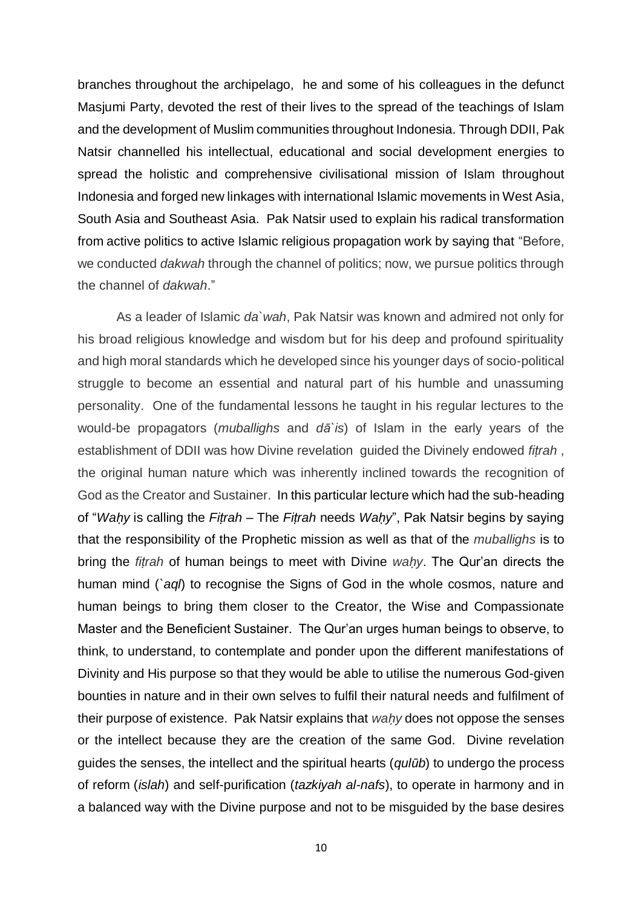branches throughout the archipelago, he and some of his colleagues in the defunct Masjumi Party, devoted the rest of their lives to the spread of the teachings of Islam and the development of Muslim communities throughout Indonesia. Through DDII, Pak Natsir channelled his intellectual, educational and social development energies to spread the holistic and comprehensive civilisational mission of Islam throughout Indonesia and forged new linkages with international Islamic movements in West Asia, South Asia and Southeast Asia. Pak Natsir used to explain his radical transformation from active politics to active Islamic religious propagation work by saying that "Before, we conducted *dakwah* through the channel of politics; now, we pursue politics through the channel of *dakwah*."

As a leader of Islamic *da`wah*, Pak Natsir was known and admired not only for his broad religious knowledge and wisdom but for his deep and profound spirituality and high moral standards which he developed since his younger days of socio-political struggle to become an essential and natural part of his humble and unassuming personality. One of the fundamental lessons he taught in his regular lectures to the would-be propagators (*muballighs* and *dā`is*) of Islam in the early years of the establishment of DDII was how Divine revelation guided the Divinely endowed *fiṭrah* , the original human nature which was inherently inclined towards the recognition of God as the Creator and Sustainer. In this particular lecture which had the sub-heading of "*Waḥy* is calling the *Fiṭrah* – The *Fiṭrah* needs *Waḥy*", Pak Natsir begins by saying that the responsibility of the Prophetic mission as well as that of the *muballighs* is to bring the *fiṭrah* of human beings to meet with Divine *waḥy*. The Qur'an directs the human mind (*`aql*) to recognise the Signs of God in the whole cosmos, nature and human beings to bring them closer to the Creator, the Wise and Compassionate Master and the Beneficient Sustainer. The Qur'an urges human beings to observe, to think, to understand, to contemplate and ponder upon the different manifestations of Divinity and His purpose so that they would be able to utilise the numerous God-given bounties in nature and in their own selves to fulfil their natural needs and fulfilment of their purpose of existence. Pak Natsir explains that *waḥy* does not oppose the senses or the intellect because they are the creation of the same God. Divine revelation guides the senses, the intellect and the spiritual hearts (*qulūb*) to undergo the process of reform (*islah*) and self-purification (*tazkiyah al-nafs*), to operate in harmony and in a balanced way with the Divine purpose and not to be misguided by the base desires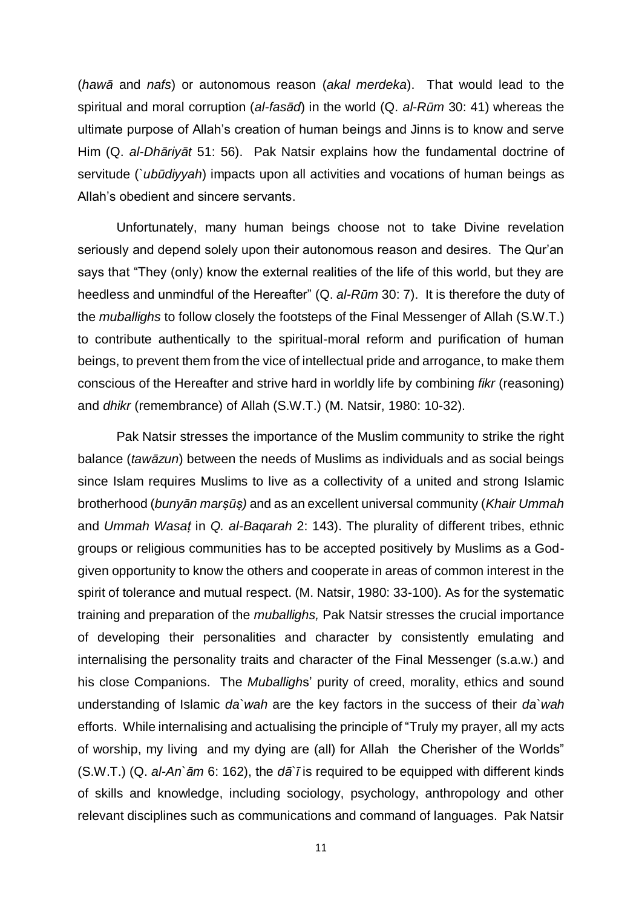(*hawā* and *nafs*) or autonomous reason (*akal merdeka*). That would lead to the spiritual and moral corruption (*al-fasād*) in the world (Q. *al-Rūm* 30: 41) whereas the ultimate purpose of Allah's creation of human beings and Jinns is to know and serve Him (Q. *al-Dhāriyāt* 51: 56). Pak Natsir explains how the fundamental doctrine of servitude (`*ubūdiyyah*) impacts upon all activities and vocations of human beings as Allah's obedient and sincere servants.

Unfortunately, many human beings choose not to take Divine revelation seriously and depend solely upon their autonomous reason and desires. The Qur'an says that "They (only) know the external realities of the life of this world, but they are heedless and unmindful of the Hereafter" (Q. *al-Rūm* 30: 7). It is therefore the duty of the *muballighs* to follow closely the footsteps of the Final Messenger of Allah (S.W.T.) to contribute authentically to the spiritual-moral reform and purification of human beings, to prevent them from the vice of intellectual pride and arrogance, to make them conscious of the Hereafter and strive hard in worldly life by combining *fikr* (reasoning) and *dhikr* (remembrance) of Allah (S.W.T.) (M. Natsir, 1980: 10-32).

Pak Natsir stresses the importance of the Muslim community to strike the right balance (*tawāzun*) between the needs of Muslims as individuals and as social beings since Islam requires Muslims to live as a collectivity of a united and strong Islamic brotherhood (*bunyān marṣūṣ)* and as an excellent universal community (*Khair Ummah* and *Ummah Wasaṭ* in *Q. al-Baqarah* 2: 143). The plurality of different tribes, ethnic groups or religious communities has to be accepted positively by Muslims as a Godgiven opportunity to know the others and cooperate in areas of common interest in the spirit of tolerance and mutual respect. (M. Natsir, 1980: 33-100). As for the systematic training and preparation of the *muballighs,* Pak Natsir stresses the crucial importance of developing their personalities and character by consistently emulating and internalising the personality traits and character of the Final Messenger (s.a.w.) and his close Companions. The *Muballigh*s' purity of creed, morality, ethics and sound understanding of Islamic *da`wah* are the key factors in the success of their *da`wah* efforts. While internalising and actualising the principle of "Truly my prayer, all my acts of worship, my living and my dying are (all) for Allah the Cherisher of the Worlds" (S.W.T.) (Q. *al-An`ām* 6: 162), the *dā`ī* is required to be equipped with different kinds of skills and knowledge, including sociology, psychology, anthropology and other relevant disciplines such as communications and command of languages. Pak Natsir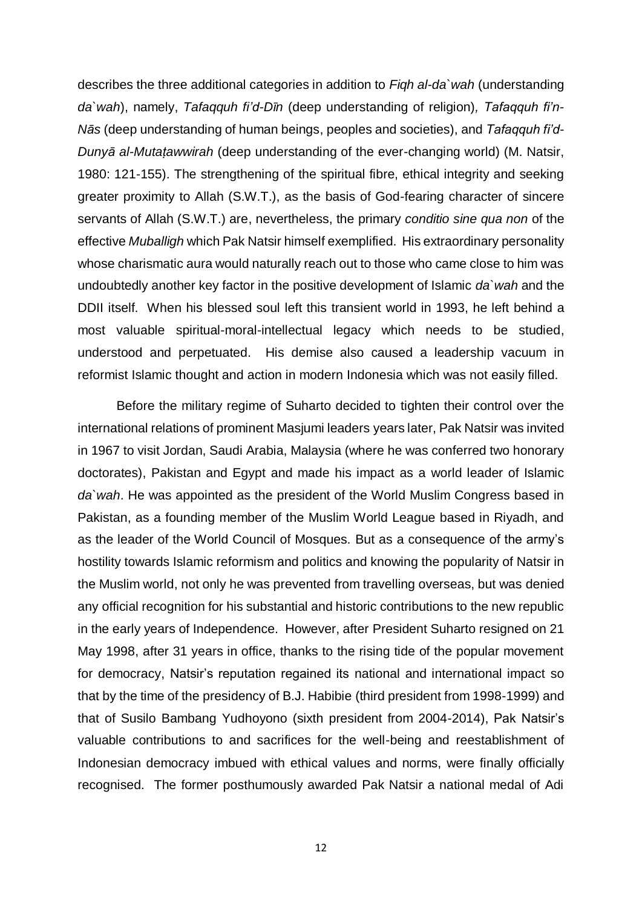describes the three additional categories in addition to *Fiqh al-da`wah* (understanding *da`wah*), namely, *Tafaqquh fi'd-Dīn* (deep understanding of religion)*, Tafaqquh fi'n-Nās* (deep understanding of human beings, peoples and societies), and *Tafaqquh fi'd-Dunyā al-Mutaṭawwirah* (deep understanding of the ever-changing world) (M. Natsir, 1980: 121-155). The strengthening of the spiritual fibre, ethical integrity and seeking greater proximity to Allah (S.W.T.), as the basis of God-fearing character of sincere servants of Allah (S.W.T.) are, nevertheless, the primary *conditio sine qua non* of the effective *Muballigh* which Pak Natsir himself exemplified. His extraordinary personality whose charismatic aura would naturally reach out to those who came close to him was undoubtedly another key factor in the positive development of Islamic *da`wah* and the DDII itself. When his blessed soul left this transient world in 1993, he left behind a most valuable spiritual-moral-intellectual legacy which needs to be studied, understood and perpetuated. His demise also caused a leadership vacuum in reformist Islamic thought and action in modern Indonesia which was not easily filled.

 Before the military regime of Suharto decided to tighten their control over the international relations of prominent Masjumi leaders years later, Pak Natsir was invited in 1967 to visit Jordan, Saudi Arabia, Malaysia (where he was conferred two honorary doctorates), Pakistan and Egypt and made his impact as a world leader of Islamic *da`wah*. He was appointed as the president of the World Muslim Congress based in Pakistan, as a founding member of the Muslim World League based in Riyadh, and as the leader of the World Council of Mosques. But as a consequence of the army's hostility towards Islamic reformism and politics and knowing the popularity of Natsir in the Muslim world, not only he was prevented from travelling overseas, but was denied any official recognition for his substantial and historic contributions to the new republic in the early years of Independence. However, after President Suharto resigned on 21 May 1998, after 31 years in office, thanks to the rising tide of the popular movement for democracy, Natsir's reputation regained its national and international impact so that by the time of the presidency of B.J. Habibie (third president from 1998-1999) and that of Susilo Bambang Yudhoyono (sixth president from 2004-2014), Pak Natsir's valuable contributions to and sacrifices for the well-being and reestablishment of Indonesian democracy imbued with ethical values and norms, were finally officially recognised. The former posthumously awarded Pak Natsir a national medal of Adi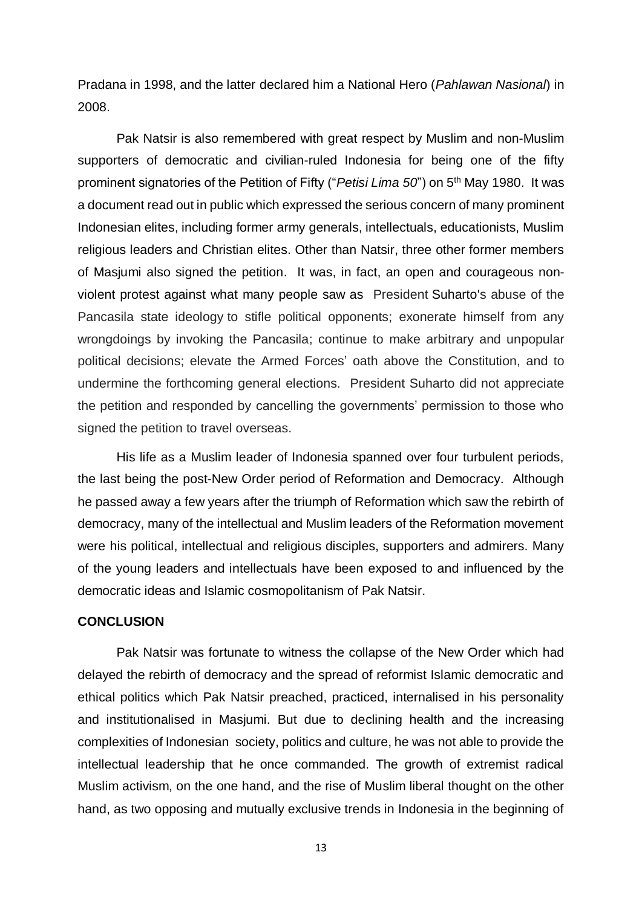Pradana in 1998, and the latter declared him a National Hero (*Pahlawan Nasional*) in 2008.

Pak Natsir is also remembered with great respect by Muslim and non-Muslim supporters of democratic and civilian-ruled Indonesia for being one of the fifty prominent signatories of the Petition of Fifty ("*Petisi Lima 50*") on 5th May 1980. It was a document read out in public which expressed the serious concern of many prominent Indonesian elites, including former army generals, intellectuals, educationists, Muslim religious leaders and Christian elites. Other than Natsir, three other former members of Masjumi also signed the petition. It was, in fact, an open and courageous nonviolent protest against what many people saw as President [Suharto'](https://en.wikipedia.org/wiki/Suharto)s abuse of the Pancasila state ideology to stifle political opponents; exonerate himself from any wrongdoings by invoking the Pancasila; continue to make arbitrary and unpopular political decisions; elevate the Armed Forces' oath above the Constitution, and to undermine the forthcoming general elections. President Suharto did not appreciate the petition and responded by cancelling the governments' permission to those who signed the petition to travel overseas.

His life as a Muslim leader of Indonesia spanned over four turbulent periods, the last being the post-New Order period of Reformation and Democracy. Although he passed away a few years after the triumph of Reformation which saw the rebirth of democracy, many of the intellectual and Muslim leaders of the Reformation movement were his political, intellectual and religious disciples, supporters and admirers. Many of the young leaders and intellectuals have been exposed to and influenced by the democratic ideas and Islamic cosmopolitanism of Pak Natsir.

## **CONCLUSION**

Pak Natsir was fortunate to witness the collapse of the New Order which had delayed the rebirth of democracy and the spread of reformist Islamic democratic and ethical politics which Pak Natsir preached, practiced, internalised in his personality and institutionalised in Masjumi. But due to declining health and the increasing complexities of Indonesian society, politics and culture, he was not able to provide the intellectual leadership that he once commanded. The growth of extremist radical Muslim activism, on the one hand, and the rise of Muslim liberal thought on the other hand, as two opposing and mutually exclusive trends in Indonesia in the beginning of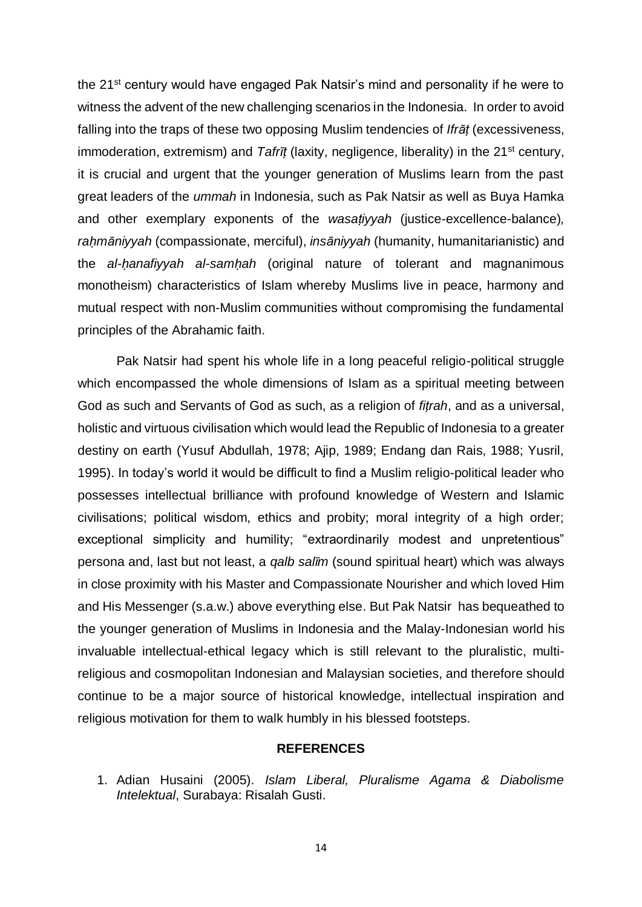the 21<sup>st</sup> century would have engaged Pak Natsir's mind and personality if he were to witness the advent of the new challenging scenarios in the Indonesia. In order to avoid falling into the traps of these two opposing Muslim tendencies of *Ifrāṭ* (excessiveness, immoderation, extremism) and *Tafrīt* (laxity, negligence, liberality) in the 21<sup>st</sup> century, it is crucial and urgent that the younger generation of Muslims learn from the past great leaders of the *ummah* in Indonesia, such as Pak Natsir as well as Buya Hamka and other exemplary exponents of the *wasaṭiyyah* (justice-excellence-balance)*, raḥmāniyyah* (compassionate, merciful), *insāniyyah* (humanity, humanitarianistic) and the *al-ḥanafiyyah al-samḥah* (original nature of tolerant and magnanimous monotheism) characteristics of Islam whereby Muslims live in peace, harmony and mutual respect with non-Muslim communities without compromising the fundamental principles of the Abrahamic faith.

Pak Natsir had spent his whole life in a long peaceful religio-political struggle which encompassed the whole dimensions of Islam as a spiritual meeting between God as such and Servants of God as such, as a religion of *fiṭrah*, and as a universal, holistic and virtuous civilisation which would lead the Republic of Indonesia to a greater destiny on earth (Yusuf Abdullah, 1978; Ajip, 1989; Endang dan Rais, 1988; Yusril, 1995). In today's world it would be difficult to find a Muslim religio-political leader who possesses intellectual brilliance with profound knowledge of Western and Islamic civilisations; political wisdom, ethics and probity; moral integrity of a high order; exceptional simplicity and humility; "extraordinarily modest and unpretentious" persona and, last but not least, a *qalb salīm* (sound spiritual heart) which was always in close proximity with his Master and Compassionate Nourisher and which loved Him and His Messenger (s.a.w.) above everything else. But Pak Natsir has bequeathed to the younger generation of Muslims in Indonesia and the Malay-Indonesian world his invaluable intellectual-ethical legacy which is still relevant to the pluralistic, multireligious and cosmopolitan Indonesian and Malaysian societies, and therefore should continue to be a major source of historical knowledge, intellectual inspiration and religious motivation for them to walk humbly in his blessed footsteps.

## **REFERENCES**

1. Adian Husaini (2005). *Islam Liberal, Pluralisme Agama & Diabolisme Intelektual*, Surabaya: Risalah Gusti.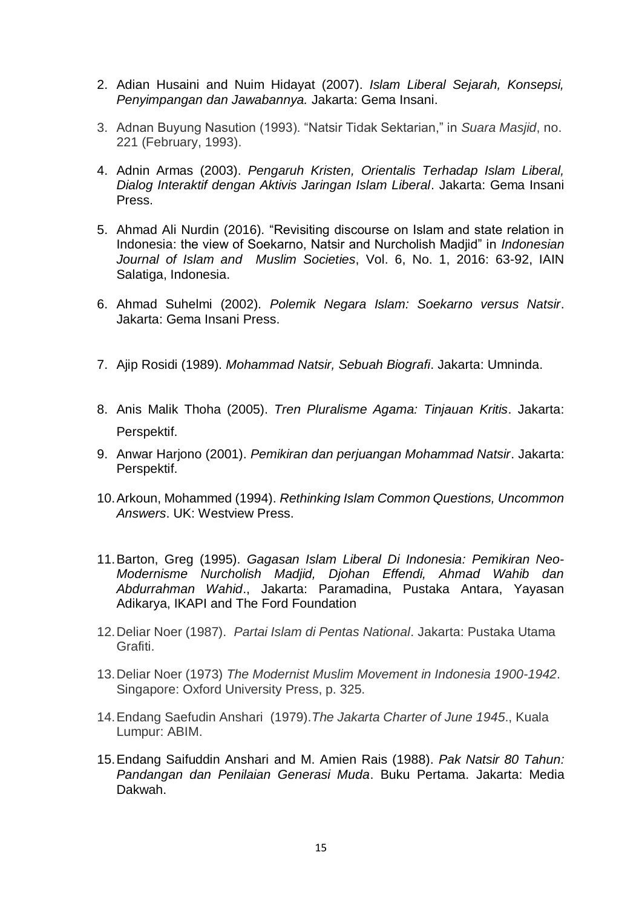- 2. Adian Husaini and Nuim Hidayat (2007). *Islam Liberal Sejarah, Konsepsi, Penyimpangan dan Jawabannya.* Jakarta: Gema Insani.
- 3. Adnan Buyung Nasution (1993). "Natsir Tidak Sektarian," in *Suara Masjid*, no. 221 (February, 1993).
- 4. Adnin Armas (2003). *Pengaruh Kristen, Orientalis Terhadap Islam Liberal, Dialog Interaktif dengan Aktivis Jaringan Islam Liberal*. Jakarta: Gema Insani Press.
- 5. Ahmad Ali Nurdin (2016). "Revisiting discourse on Islam and state relation in Indonesia: the view of Soekarno, Natsir and Nurcholish Madjid" in *Indonesian Journal of Islam and Muslim Societies*, Vol. 6, No. 1, 2016: 63-92, IAIN Salatiga, Indonesia.
- 6. Ahmad Suhelmi (2002). *Polemik Negara Islam: Soekarno versus Natsir*. Jakarta: Gema Insani Press.
- 7. Ajip Rosidi (1989). *Mohammad Natsir, Sebuah Biografi*. Jakarta: Umninda.
- 8. Anis Malik Thoha (2005). *Tren Pluralisme Agama: Tinjauan Kritis*. Jakarta: Perspektif.
- 9. Anwar Harjono (2001). *Pemikiran dan perjuangan Mohammad Natsir*. Jakarta: Perspektif.
- 10.Arkoun, Mohammed (1994). *Rethinking Islam Common Questions, Uncommon Answers*. UK: Westview Press.
- 11.Barton, Greg (1995). *Gagasan Islam Liberal Di Indonesia: Pemikiran Neo-Modernisme Nurcholish Madjid, Djohan Effendi, Ahmad Wahib dan Abdurrahman Wahid*., Jakarta: Paramadina, Pustaka Antara, Yayasan Adikarya, IKAPI and The Ford Foundation
- 12.Deliar Noer (1987). *Partai Islam di Pentas National*. Jakarta: Pustaka Utama Grafiti.
- 13.Deliar Noer (1973) *The Modernist Muslim Movement in Indonesia 1900-1942*. Singapore: Oxford University Press, p. 325.
- 14.Endang Saefudin Anshari (1979).*The Jakarta Charter of June 1945*., Kuala Lumpur: ABIM.
- 15.Endang Saifuddin Anshari and M. Amien Rais (1988). *Pak Natsir 80 Tahun: Pandangan dan Penilaian Generasi Muda*. Buku Pertama. Jakarta: Media Dakwah.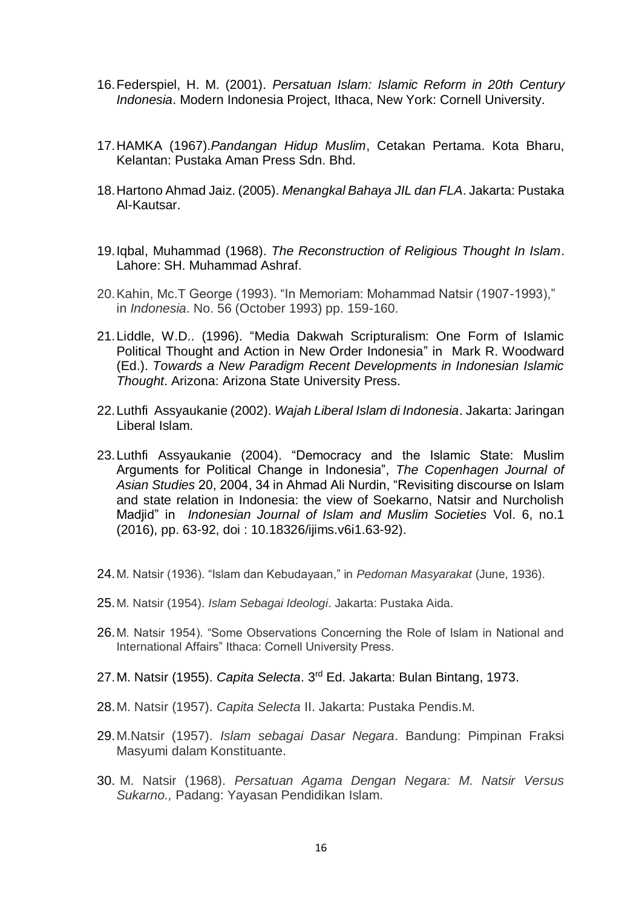- 16.Federspiel, H. M. (2001). *Persatuan Islam: Islamic Reform in 20th Century Indonesia*. Modern Indonesia Project, Ithaca, New York: Cornell University.
- 17.HAMKA (1967).*Pandangan Hidup Muslim*, Cetakan Pertama. Kota Bharu, Kelantan: Pustaka Aman Press Sdn. Bhd.
- 18.Hartono Ahmad Jaiz. (2005). *Menangkal Bahaya JIL dan FLA*. Jakarta: Pustaka Al-Kautsar.
- 19.Iqbal, Muhammad (1968). *The Reconstruction of Religious Thought In Islam*. Lahore: SH. Muhammad Ashraf.
- 20.Kahin, Mc.T George (1993). "In Memoriam: Mohammad Natsir (1907-1993)," in *Indonesia*. No. 56 (October 1993) pp. 159-160.
- 21.Liddle, W.D.. (1996). "Media Dakwah Scripturalism: One Form of Islamic Political Thought and Action in New Order Indonesia" in Mark R. Woodward (Ed.). *Towards a New Paradigm Recent Developments in Indonesian Islamic Thought*. Arizona: Arizona State University Press.
- 22.Luthfi Assyaukanie (2002). *Wajah Liberal Islam di Indonesia*. Jakarta: Jaringan Liberal Islam.
- 23.Luthfi Assyaukanie (2004). "Democracy and the Islamic State: Muslim Arguments for Political Change in Indonesia", *The Copenhagen Journal of Asian Studies* 20, 2004, 34 in Ahmad Ali Nurdin, "Revisiting discourse on Islam and state relation in Indonesia: the view of Soekarno, Natsir and Nurcholish Madjid" in *Indonesian Journal of Islam and Muslim Societies* Vol. 6, no.1 (2016), pp. 63-92, doi : 10.18326/ijims.v6i1.63-92).
- 24.M. Natsir (1936). "Islam dan Kebudayaan," in *Pedoman Masyarakat* (June, 1936).
- 25.M. Natsir (1954). *Islam Sebagai Ideologi*. Jakarta: Pustaka Aida.
- 26.M. Natsir 1954). "Some Observations Concerning the Role of Islam in National and International Affairs" Ithaca: Cornell University Press.
- 27.M. Natsir (1955). *Capita Selecta*. 3rd Ed. Jakarta: Bulan Bintang, 1973.
- 28.M. Natsir (1957). *Capita Selecta* II. Jakarta: Pustaka Pendis.M.
- 29.M.Natsir (1957). *Islam sebagai Dasar Negara*. Bandung: Pimpinan Fraksi Masyumi dalam Konstituante.
- 30. M. Natsir (1968). *Persatuan Agama Dengan Negara: M. Natsir Versus Sukarno.,* Padang: Yayasan Pendidikan Islam.